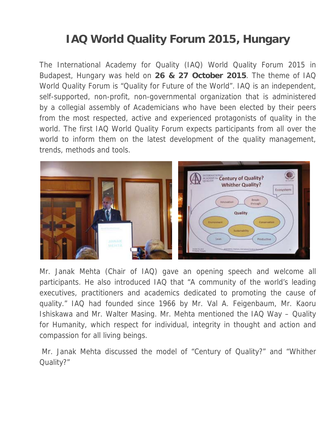## **IAQ World Quality Forum 2015, Hungary**

The International Academy for Quality (IAQ) World Quality Forum 2015 in Budapest, Hungary was held on **26 & 27 October 2015**. The theme of IAQ World Quality Forum is "Quality for Future of the World". IAQ is an independent, self-supported, non-profit, non-governmental organization that is administered by a collegial assembly of Academicians who have been elected by their peers from the most respected, active and experienced protagonists of quality in the world. The first IAQ World Quality Forum expects participants from all over the world to inform them on the latest development of the quality management, trends, methods and tools.



Mr. Janak Mehta (Chair of IAQ) gave an opening speech and welcome all participants. He also introduced IAQ that "A community of the world's leading executives, practitioners and academics dedicated to promoting the cause of quality." IAQ had founded since 1966 by Mr. Val A. Feigenbaum, Mr. Kaoru Ishiskawa and Mr. Walter Masing. Mr. Mehta mentioned the IAQ Way – Quality for Humanity, which respect for individual, integrity in thought and action and compassion for all living beings.

 Mr. Janak Mehta discussed the model of "Century of Quality?" and "Whither Quality?"